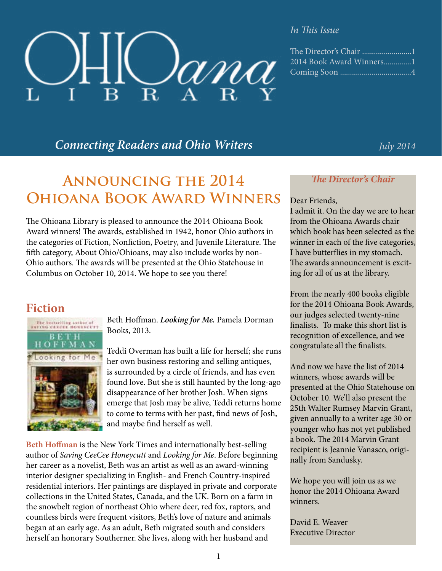# $\ell_{\rm A}$   $\ell_{\rm R}$  $\mathbf{R}$

#### *In This Issue*

| 2014 Book Award Winners1 |
|--------------------------|
|                          |

# *Connecting Readers and Ohio Writers July 2014*

# **Announcing the 2014 Ohioana Book Award Winners**

The Ohioana Library is pleased to announce the 2014 Ohioana Book Award winners! The awards, established in 1942, honor Ohio authors in the categories of Fiction, Nonfiction, Poetry, and Juvenile Literature. The fifth category, About Ohio/Ohioans, may also include works by non-Ohio authors. The awards will be presented at the Ohio Statehouse in Columbus on October 10, 2014. We hope to see you there!

# **Fiction**



Beth Hoffman. *Looking for Me.* Pamela Dorman Books, 2013.

Teddi Overman has built a life for herself; she runs her own business restoring and selling antiques, is surrounded by a circle of friends, and has even found love. But she is still haunted by the long-ago disappearance of her brother Josh. When signs emerge that Josh may be alive, Teddi returns home to come to terms with her past, find news of Josh, and maybe find herself as well.

**Beth Hoffman** is the New York Times and internationally best-selling author of *Saving CeeCee Honeycutt* and *Looking for Me*. Before beginning her career as a novelist, Beth was an artist as well as an award-winning interior designer specializing in English- and French Country-inspired residential interiors. Her paintings are displayed in private and corporate collections in the United States, Canada, and the UK. Born on a farm in the snowbelt region of northeast Ohio where deer, red fox, raptors, and countless birds were frequent visitors, Beth's love of nature and animals began at an early age. As an adult, Beth migrated south and considers herself an honorary Southerner. She lives, along with her husband and

#### *The Director's Chair*

#### Dear Friends,

I admit it. On the day we are to hear from the Ohioana Awards chair which book has been selected as the winner in each of the five categories, I have butterflies in my stomach. The awards announcement is exciting for all of us at the library.

From the nearly 400 books eligible for the 2014 Ohioana Book Awards, our judges selected twenty-nine finalists. To make this short list is recognition of excellence, and we congratulate all the finalists.

And now we have the list of 2014 winners, whose awards will be presented at the Ohio Statehouse on October 10. We'll also present the 25th Walter Rumsey Marvin Grant, given annually to a writer age 30 or younger who has not yet published a book. The 2014 Marvin Grant recipient is Jeannie Vanasco, originally from Sandusky.

We hope you will join us as we honor the 2014 Ohioana Award winners.

David E. Weaver Executive Director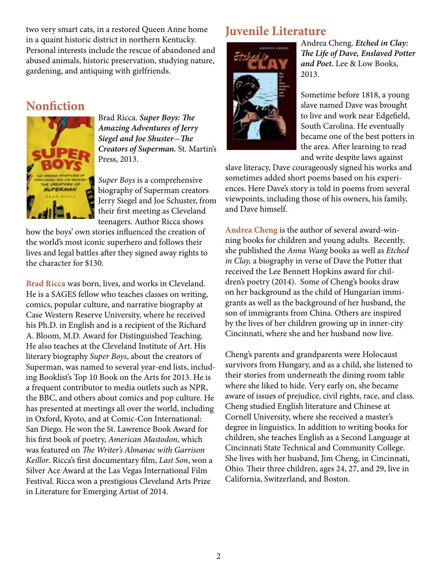two very smart cats, in a restored Queen Anne home in a quaint historic district in northern Kentucky. Personal interests include the rescue of abandoned and abused animals, historic preservation, studying nature, gardening, and antiquing with girlfriends.

# **Nonfiction**



Brad Ricca. *Super Boys: The Amazing Adventures of Jerry Siegel and Joe Shuster*-*The Creators of Superman.* St. Martin's Press, 2013.

*Super Boys* is a comprehensive biography of Superman creators Jerry Siegel and Joe Schuster, from their first meeting as Cleveland teenagers. Author Ricca shows

how the boys' own stories influenced the creation of the world's most iconic superhero and follows their lives and legal battles after they signed away rights to the character for \$130.

**Brad Ricca** was born, lives, and works in Cleveland. He is a SAGES fellow who teaches classes on writing, comics, popular culture, and narrative biography at Case Western Reserve University, where he received his Ph.D. in English and is a recipient of the Richard A. Bloom, M.D. Award for Distinguished Teaching. He also teaches at the Cleveland Institute of Art. His literary biography *Super Boys*, about the creators of Superman, was named to several year-end lists, including Booklist's Top 10 Book on the Arts for 2013. He is a frequent contributor to media outlets such as NPR, the BBC, and others about comics and pop culture. He has presented at meetings all over the world, including in Oxford, Kyoto, and at Comic-Con International: San Diego. He won the St. Lawrence Book Award for his first book of poetry, *American Mastodon*, which was featured on *The Writer's Almanac with Garrison Keillor*. Ricca's first documentary film, *Last Son*, won a Silver Ace Award at the Las Vegas International Film Festival. Ricca won a prestigious Cleveland Arts Prize in Literature for Emerging Artist of 2014.

# **Juvenile Literature**



Andrea Cheng. *Etched in Clay: The Life of Dave, Enslaved Potter and Poet.* Lee & Low Books, 2013.

Sometime before 1818, a young slave named Dave was brought to live and work near Edgefield, South Carolina. He eventually became one of the best potters in the area. After learning to read and write despite laws against

slave literacy, Dave courageously signed his works and sometimes added short poems based on his experiences. Here Dave's story is told in poems from several viewpoints, including those of his owners, his family, and Dave himself.

**Andrea Cheng** is the author of several award-winning books for children and young adults. Recently, she published the *Anna Wang* books as well as *Etched in Clay,* a biography in verse of Dave the Potter that received the Lee Bennett Hopkins award for children's poetry (2014). Some of Cheng's books draw on her background as the child of Hungarian immigrants as well as the background of her husband, the son of immigrants from China. Others are inspired by the lives of her children growing up in inner-city Cincinnati, where she and her husband now live.

Cheng's parents and grandparents were Holocaust survivors from Hungary, and as a child, she listened to their stories from underneath the dining room table where she liked to hide. Very early on, she became aware of issues of prejudice, civil rights, race, and class. Cheng studied English literature and Chinese at Cornell University, where she received a master's degree in linguistics. In addition to writing books for children, she teaches English as a Second Language at Cincinnati State Technical and Community College. She lives with her husband, Jim Cheng, in Cincinnati, Ohio. Their three children, ages 24, 27, and 29, live in California, Switzerland, and Boston.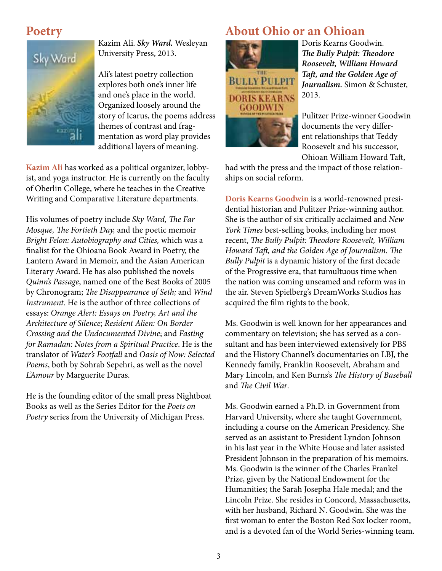### **Poetry**



Kazim Ali. *Sky Ward.* Wesleyan University Press, 2013.

Ali's latest poetry collection explores both one's inner life and one's place in the world. Organized loosely around the story of Icarus, the poems address themes of contrast and fragmentation as word play provides additional layers of meaning.

**Kazim Ali** has worked as a political organizer, lobbyist, and yoga instructor. He is currently on the faculty of Oberlin College, where he teaches in the Creative Writing and Comparative Literature departments.

His volumes of poetry include *Sky Ward, The Far Mosque, The Fortieth Day,* and the poetic memoir *Bright Felon: Autobiography and Cities,* which was a finalist for the Ohioana Book Award in Poetry, the Lantern Award in Memoir, and the Asian American Literary Award. He has also published the novels *Quinn's Passage*, named one of the Best Books of 2005 by Chronogram; *The Disappearance of Seth;* and *Wind Instrument*. He is the author of three collections of essays: *Orange Alert: Essays on Poetry, Art and the Architecture of Silence*; *Resident Alien: On Border Crossing and the Undocumented Divine*; and *Fasting for Ramadan: Notes from a Spiritual Practice*. He is the translator of *Water's Footfall* and *Oasis of Now: Selected Poems*, both by Sohrab Sepehri, as well as the novel *L'Amour* by Marguerite Duras.

He is the founding editor of the small press Nightboat Books as well as the Series Editor for the *Poets on Poetry* series from the University of Michigan Press.

# **About Ohio or an Ohioan**



Doris Kearns Goodwin. *The Bully Pulpit: Theodore Roosevelt, William Howard Taft, and the Golden Age of Journalism.* Simon & Schuster, 2013.

Pulitzer Prize-winner Goodwin documents the very different relationships that Teddy Roosevelt and his successor, Ohioan William Howard Taft,

had with the press and the impact of those relationships on social reform.

**Doris Kearns Goodwin** is a world-renowned presidential historian and Pulitzer Prize-winning author. She is the author of six critically acclaimed and *New York Times* best-selling books, including her most recent, *The Bully Pulpit: Theodore Roosevelt, William Howard Taft, and the Golden Age of Journalism*. *The Bully Pulpit* is a dynamic history of the first decade of the Progressive era, that tumultuous time when the nation was coming unseamed and reform was in the air. Steven Spielberg's DreamWorks Studios has acquired the film rights to the book.

Ms. Goodwin is well known for her appearances and commentary on television; she has served as a consultant and has been interviewed extensively for PBS and the History Channel's documentaries on LBJ, the Kennedy family, Franklin Roosevelt, Abraham and Mary Lincoln, and Ken Burns's *The History of Baseball* and *The Civil War*.

Ms. Goodwin earned a Ph.D. in Government from Harvard University, where she taught Government, including a course on the American Presidency. She served as an assistant to President Lyndon Johnson in his last year in the White House and later assisted President Johnson in the preparation of his memoirs. Ms. Goodwin is the winner of the Charles Frankel Prize, given by the National Endowment for the Humanities; the Sarah Josepha Hale medal; and the Lincoln Prize. She resides in Concord, Massachusetts, with her husband, Richard N. Goodwin. She was the first woman to enter the Boston Red Sox locker room, and is a devoted fan of the World Series-winning team.